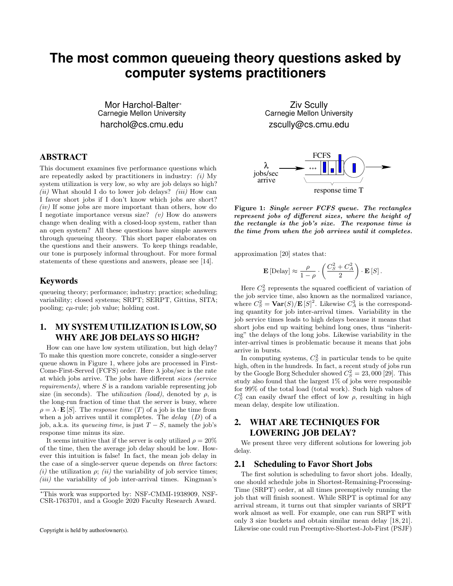# **The most common queueing theory questions asked by computer systems practitioners**

Mor Harchol-Balter<sup>®</sup> Carnegie Mellon University harchol@cs.cmu.edu

## ABSTRACT

This document examines five performance questions which are repeatedly asked by practitioners in industry: *(i)* My system utilization is very low, so why are job delays so high? *(ii)* What should I do to lower job delays? *(iii)* How can I favor short jobs if I don't know which jobs are short? *(iv)* If some jobs are more important than others, how do I negotiate importance versus size? *(v)* How do answers change when dealing with a closed-loop system, rather than an open system? All these questions have simple answers through queueing theory. This short paper elaborates on the questions and their answers. To keep things readable, our tone is purposely informal throughout. For more formal statements of these questions and answers, please see [14].

### Keywords

queueing theory; performance; industry; practice; scheduling; variability; closed systems; SRPT; SERPT, Gittins, SITA; pooling; *cµ*-rule; job value; holding cost.

# 1. MY SYSTEM UTILIZATION IS LOW, SO WHY ARE JOB DELAYS SO HIGH?

How can one have low system utilization, but high delay? To make this question more concrete, consider a single-server queue shown in Figure 1, where jobs are processed in First-Come-First-Served (FCFS) order. Here  $\lambda$  jobs/sec is the rate at which jobs arrive. The jobs have different *sizes (service*) *requirements)*, where *S* is a random variable representing job size (in seconds). The *utilization (load)*, denoted by  $\rho$ , is the long-run fraction of time that the server is busy, where  $\rho = \lambda \cdot \mathbf{E}[S]$ . The *response time* (*T*) of a job is the time from when a job arrives until it completes. The *delay* (*D*) of a job, a.k.a. its *queueing time*, is just  $T - S$ , namely the job's response time minus its size.

It seems intuitive that if the server is only utilized  $\rho = 20\%$ of the time, then the average job delay should be low. However this intuition is false! In fact, the mean job delay in the case of a single-server queue depends on *three* factors:  $(i)$  the utilization  $\rho$ ;  $(ii)$  the variability of job service times; *(iii)* the variability of job inter-arrival times. Kingman's

Ziv Scully Carnegie Mellon University zscully@cs.cmu.edu



Figure 1: *Single server FCFS queue. The rectangles represent jobs of different sizes, where the height of the rectangle is the job's size. The response time is the time from when the job arrives until it completes.*

approximation [20] states that:

$$
\mathbf{E}\left[\text{Delay}\right] \approx \frac{\rho}{1-\rho} \cdot \left(\frac{C_S^2 + C_A^2}{2}\right) \cdot \mathbf{E}\left[S\right].
$$

Here  $C_S^2$  represents the squared coefficient of variation of the job service time, also known as the normalized variance, where  $C_S^2 = \text{Var}(S)/\mathbf{E}[S]^2$ . Likewise  $C_A^2$  is the corresponding quantity for job inter-arrival times. Variability in the job service times leads to high delays because it means that short jobs end up waiting behind long ones, thus "inheriting" the delays of the long jobs. Likewise variability in the inter-arrival times is problematic because it means that jobs arrive in bursts.

In computing systems,  $C_S^2$  in particular tends to be quite high, often in the hundreds. In fact, a recent study of jobs run by the Google Borg Scheduler showed  $C_S^2 = 23,000$  [29]. This study also found that the largest 1% of jobs were responsible for 99% of the total load (total work). Such high values of  $C_S^2$  can easily dwarf the effect of low  $\rho$ , resulting in high mean delay, despite low utilization.

# 2. WHAT ARE TECHNIQUES FOR LOWERING JOB DELAY?

We present three very different solutions for lowering job delay.

#### 2.1 Scheduling to Favor Short Jobs

The first solution is scheduling to favor short jobs. Ideally, one should schedule jobs in Shortest-Remaining-Processing-Time (SRPT) order, at all times preemptively running the job that will finish soonest. While SRPT is optimal for any arrival stream, it turns out that simpler variants of SRPT work almost as well. For example, one can run SRPT with only 3 size buckets and obtain similar mean delay [18, 21]. Likewise one could run Preemptive-Shortest-Job-First (PSJF)

<sup>∗</sup>This work was supported by: NSF-CMMI-1938909, NSF-CSR-1763701, and a Google 2020 Faculty Research Award.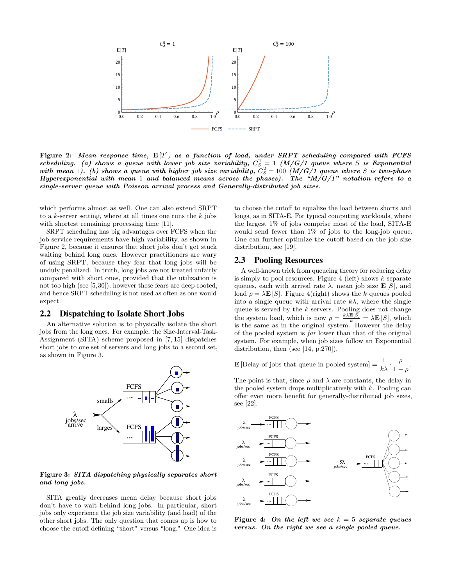

Figure 2: *Mean response time,* E [*T*]*, as a function of load, under SRPT scheduling compared with FCFS*  $scheduling.$  (a) shows a queue with lower job size variability,  $C_S^2 = 1$  ( $M/G/1$  queue where *S* is Exponential *with mean* 1). (b) shows a queue with higher job size variability,  $C_S^2 = 100$  (M/G/1 queue where S is two-phase *Hyperexponential with mean* 1 *and balanced means across the phases). The "M/G/1" notation refers to a single-server queue with Poisson arrival process and Generally-distributed job sizes.*

which performs almost as well. One can also extend SRPT to a *k*-server setting, where at all times one runs the *k* jobs with shortest remaining processing time [11].

SRPT scheduling has big advantages over FCFS when the job service requirements have high variability, as shown in Figure 2, because it ensures that short jobs don't get stuck waiting behind long ones. However practitioners are wary of using SRPT, because they fear that long jobs will be unduly penalized. In truth, long jobs are not treated unfairly compared with short ones, provided that the utilization is not too high (see [5,30]); however these fears are deep-rooted, and hence SRPT scheduling is not used as often as one would expect.

#### 2.2 Dispatching to Isolate Short Jobs

An alternative solution is to physically isolate the short jobs from the long ones. For example, the Size-Interval-Task-Assignment (SITA) scheme proposed in [7, 15] dispatches short jobs to one set of servers and long jobs to a second set, as shown in Figure 3.



Figure 3: *SITA dispatching physically separates short and long jobs.*

SITA greatly decreases mean delay because short jobs don't have to wait behind long jobs. In particular, short jobs only experience the job size variability (and load) of the other short jobs. The only question that comes up is how to choose the cutoff defining "short" versus "long." One idea is

to choose the cutoff to equalize the load between shorts and longs, as in SITA-E. For typical computing workloads, where the largest 1% of jobs comprise most of the load, SITA-E would send fewer than 1% of jobs to the long-job queue. One can further optimize the cutoff based on the job size distribution, see [19].

## 2.3 Pooling Resources

A well-known trick from queueing theory for reducing delay is simply to pool resources. Figure 4 (left) shows *k* separate queues, each with arrival rate  $\lambda$ , mean job size **E** [*S*], and load  $\rho = \lambda \mathbf{E}[S]$ . Figure 4(right) shows the *k* queues pooled into a single queue with arrival rate  $k\lambda$ , where the single queue is served by the *k* servers. Pooling does not change the system load, which is now  $\rho = \frac{k \lambda \mathbf{E}[S]}{k} = \lambda \mathbf{E}[S]$ , which is the same as in the original system. However the delay of the pooled system is *far* lower than that of the original system. For example, when job sizes follow an Exponential distribution, then (see [14, p.270]),

**E** [Delay of jobs that queue in pooled system] = 
$$
\frac{1}{k\lambda} \cdot \frac{\rho}{1-\rho}
$$
.

The point is that, since  $\rho$  and  $\lambda$  are constants, the delay in the pooled system drops multiplicatively with *k*. Pooling can offer even more benefit for generally-distributed job sizes, see [22].



Figure 4: *On the left we see k* = 5 *separate queues versus. On the right we see a single pooled queue.*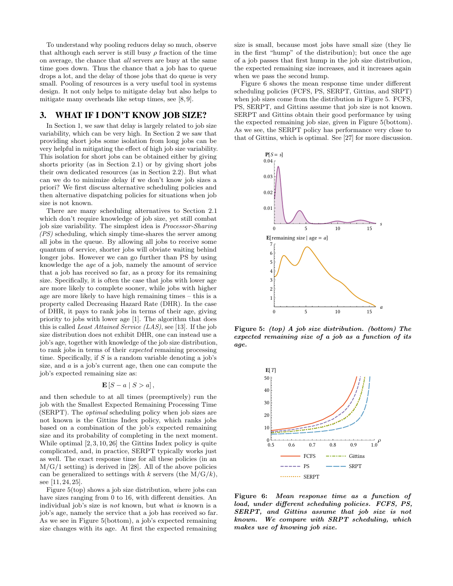To understand why pooling reduces delay so much, observe that although each server is still busy  $\rho$  fraction of the time on average, the chance that *all* servers are busy at the same time goes down. Thus the chance that a job has to queue drops a lot, and the delay of those jobs that do queue is very small. Pooling of resources is a very useful tool in systems design. It not only helps to mitigate delay but also helps to mitigate many overheads like setup times, see [8, 9].

## 3. WHAT IF I DON'T KNOW JOB SIZE?

In Section 1, we saw that delay is largely related to job size variability, which can be very high. In Section 2 we saw that providing short jobs some isolation from long jobs can be very helpful in mitigating the effect of high job size variability. This isolation for short jobs can be obtained either by giving shorts priority (as in Section 2.1) or by giving short jobs their own dedicated resources (as in Section 2.2). But what can we do to minimize delay if we don't know job sizes a priori? We first discuss alternative scheduling policies and then alternative dispatching policies for situations when job size is not known.

There are many scheduling alternatives to Section 2.1 which don't require knowledge of job size, yet still combat job size variability. The simplest idea is *Processor-Sharing (PS)* scheduling, which simply time-shares the server among all jobs in the queue. By allowing all jobs to receive some quantum of service, shorter jobs will obviate waiting behind longer jobs. However we can go further than PS by using knowledge the *age* of a job, namely the amount of service that a job has received so far, as a proxy for its remaining size. Specifically, it is often the case that jobs with lower age are more likely to complete sooner, while jobs with higher age are more likely to have high remaining times – this is a property called Decreasing Hazard Rate (DHR). In the case of DHR, it pays to rank jobs in terms of their age, giving priority to jobs with lower age [1]. The algorithm that does this is called *Least Attained Service (LAS)*, see [13]. If the job size distribution does not exhibit DHR, one can instead use a job's age, together with knowledge of the job size distribution, to rank jobs in terms of their *expected* remaining processing time. Specifically, if *S* is a random variable denoting a job's size, and *a* is a job's current age, then one can compute the job's expected remaining size as:

#### $\mathbf{E}[S - a | S > a],$

and then schedule to at all times (preemptively) run the job with the Smallest Expected Remaining Processing Time (SERPT). The *optimal* scheduling policy when job sizes are not known is the Gittins Index policy, which ranks jobs based on a combination of the job's expected remaining size and its probability of completing in the next moment. While optimal [2, 3, 10, 26] the Gittins Index policy is quite complicated, and, in practice, SERPT typically works just as well. The exact response time for all these policies (in an  $M/G/1$  setting) is derived in [28]. All of the above policies can be generalized to settings with  $k$  servers (the  $M/G/k$ ), see [11, 24, 25].

Figure 5(top) shows a job size distribution, where jobs can have sizes ranging from  $0$  to  $16$ , with different densities. An individual job's size is *not* known, but what *is* known is a job's age, namely the service that a job has received so far. As we see in Figure 5(bottom), a job's expected remaining size changes with its age. At first the expected remaining

size is small, because most jobs have small size (they lie in the first "hump" of the distribution); but once the age of a job passes that first hump in the job size distribution, the expected remaining size increases, and it increases again when we pass the second hump.

Figure 6 shows the mean response time under different scheduling policies (FCFS, PS, SERPT, Gittins, and SRPT) when job sizes come from the distribution in Figure 5. FCFS, PS, SERPT, and Gittins assume that job size is not known. SERPT and Gittins obtain their good performance by using the expected remaining job size, given in Figure 5(bottom). As we see, the SERPT policy has performance very close to that of Gittins, which is optimal. See [27] for more discussion.



Figure 5: *(top) A job size distribution. (bottom) The expected remaining size of a job as a function of its age.*



Figure 6: *Mean response time as a function of load, under different scheduling policies. FCFS, PS, SERPT, and Gittins assume that job size is not known. We compare with SRPT scheduling, which makes use of knowing job size.*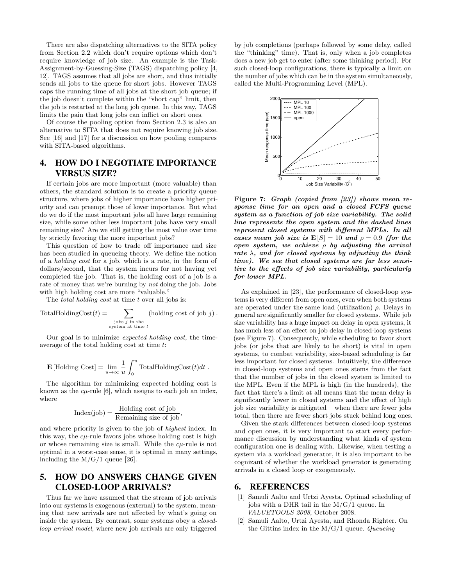There are also dispatching alternatives to the SITA policy from Section 2.2 which don't require options which don't require knowledge of job size. An example is the Task-Assignment-by-Guessing-Size (TAGS) dispatching policy [4, 12]. TAGS assumes that all jobs are short, and thus initially sends all jobs to the queue for short jobs. However TAGS caps the running time of all jobs at the short job queue; if the job doesn't complete within the "short cap" limit, then the job is restarted at the long job queue. In this way, TAGS limits the pain that long jobs can inflict on short ones.

Of course the pooling option from Section 2.3 is also an alternative to SITA that does not require knowing job size. See [16] and [17] for a discussion on how pooling compares with SITA-based algorithms.

# 4. HOW DO I NEGOTIATE IMPORTANCE VERSUS SIZE?

If certain jobs are more important (more valuable) than others, the standard solution is to create a priority queue structure, where jobs of higher importance have higher priority and can preempt those of lower importance. But what do we do if the most important jobs all have large remaining size, while some other less important jobs have very small remaining size? Are we still getting the most value over time by strictly favoring the more important jobs?

This question of how to trade off importance and size has been studied in queueing theory. We define the notion of a *holding cost* for a job, which is a rate, in the form of dollars/second, that the system incurs for not having yet completed the job. That is, the holding cost of a job is a rate of money that we're burning by *not* doing the job. Jobs with high holding cost are more "valuable."

The *total holding cost* at time *t* over all jobs is:

TotalHoldingCost
$$
(t)
$$
 = 
$$
\sum_{\substack{j\text{obs }j\text{ in the} \\ \text{system at time }t}} (\text{holding cost of job } j).
$$

Our goal is to minimize *expected holding cost*, the timeaverage of the total holding cost at time *t*:

$$
\mathbf{E}[\text{Holding Cost}] = \lim_{u \to \infty} \frac{1}{u} \int_0^u \text{TotalHoldingCost}(t) dt.
$$

The algorithm for minimizing expected holding cost is known as the  $c\mu$ -rule [6], which assigns to each job an index, where

$$
Index(job) = \frac{Holding cost of job}{Remaining size of job},
$$

and where priority is given to the job of *highest* index. In this way, the *cµ*-rule favors jobs whose holding cost is high or whose remaining size is small. While the *cµ*-rule is not optimal in a worst-case sense, it is optimal in many settings, including the  $M/G/1$  queue [26].

## 5. HOW DO ANSWERS CHANGE GIVEN CLOSED-LOOP ARRIVALS?

Thus far we have assumed that the stream of job arrivals into our systems is exogenous (external) to the system, meaning that new arrivals are not affected by what's going on inside the system. By contrast, some systems obey a *closedloop arrival model*, where new job arrivals are only triggered

by job completions (perhaps followed by some delay, called the "thinking" time). That is, only when a job completes does a new job get to enter (after some thinking period). For such closed-loop configurations, there is typically a limit on the number of jobs which can be in the system simultaneously, called the Multi-Programming Level (MPL).



Figure 7: *Graph (copied from [23]) shows mean response time for an open and a closed FCFS queue system as a function of job size variability. The solid line represents the open system and the dashed lines represent closed systems with different MPLs. In all cases mean job size is*  $E[S] = 10$  *and*  $\rho = 0.9$  *(for the open system, we achieve*  $\rho$  *by adjusting the arrival rate*  $\lambda$ *, and for closed systems by adjusting the think time). We see that closed systems are far less sensitive to the effects of job size variability, particularly for lower MPL.*

As explained in [23], the performance of closed-loop systems is very different from open ones, even when both systems are operated under the same load (utilization)  $\rho$ . Delays in general are significantly smaller for closed systems. While job size variability has a huge impact on delay in open systems, it has much less of an effect on job delay in closed-loop systems (see Figure 7). Consequently, while scheduling to favor short jobs (or jobs that are likely to be short) is vital in open systems, to combat variability, size-based scheduling is far less important for closed systems. Intuitively, the difference in closed-loop systems and open ones stems from the fact that the number of jobs in the closed system is limited to the MPL. Even if the MPL is high (in the hundreds), the fact that there's a limit at all means that the mean delay is significantly lower in closed systems and the effect of high job size variability is mitigated – when there are fewer jobs total, then there are fewer short jobs stuck behind long ones.

Given the stark differences between closed-loop systems and open ones, it is very important to start every performance discussion by understanding what kinds of system configuration one is dealing with. Likewise, when testing a system via a workload generator, it is also important to be cognizant of whether the workload generator is generating arrivals in a closed loop or exogeneously.

### 6. REFERENCES

- [1] Samuli Aalto and Urtzi Ayesta. Optimal scheduling of jobs with a DHR tail in the M/G/1 queue. In *VALUETOOLS 2008*, October 2008.
- [2] Samuli Aalto, Urtzi Ayesta, and Rhonda Righter. On the Gittins index in the M/G/1 queue. *Queueing*